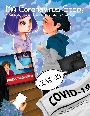## My Coronavirus Story

Written By Elizabeth Shepherd | Illustrated By Shoshannah Fox

VIRUS DISCOVERED

COVID-19

Virus discovered and spreading fast, prease wash<br>wrus discovered and spreading fast, prease wash Virus discovered and spreading fast, prease wash<br>Virus discovered and spreading fast, prease wash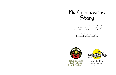## My Coronavirus Story

This resource was created in partnership by: Sioux Lookout First Nations Health Authority  $\epsilon$ Kwayaciiwin Education Resource Centre.

> Written By Elizabeth Shepherd Illustrated By Shoshannah Fox



Sioux Lookout **First Nations Health Authority** 

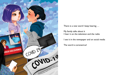There is a new word I keep hearing …

My family talks about it I hear it on the television and the radio

I see it in the newspaper and on social media

The word is coronavirus!

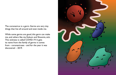The coronavirus is a germ. Germs are very tiny things that live all around and even inside me.

While some germs are good, this germ can make me, and others like my Kokum and Shoomis, sick. This sickness is called COVID-19. It gets its name from the family of germs it comes from - coronaviruses - and for the year it was discovered – 2019.

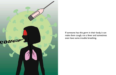

If someone has this germ in their body, it can make them cough, run a fever and sometimes even have some trouble breathing.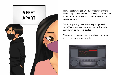

Many people who get COVID-19 stay away from other people to keep them safe. They are often able to feel better soon without needing to go to the nursing station.

Some people may need extra help to get well again. That may mean that they have to leave the community to go see a doctor.

The voice on the radio says that there is a lot we can do to stay safe and healthy.

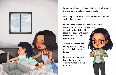

I make sure I wash my hands before I help Mama in the kitchen and before I eat my meals.

I wash my hands after I use the toilet and anytime I notice that they are dirty.

When I wash my hands, I make sure to use warm water and soap. I make sure to wash my hands for 20 seconds – that way I know I scrubbed all the bad germs away.

To help me remember, I'll sing 'Happy Birthday' or the alphabet song twice.

I can use hand sanitizer instead of soap and water if my hands don't look dirty.

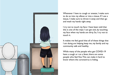

Whenever I have to cough or sneeze, I make sure to do so into my elbow or into a tissue. If I use a tissue, I make sure to throw it away and then go and wash my hands right away.

I try not to touch my face. I have been told that this is one of the ways I can get sick, by touching my face when my hands are dirty. So, I try not to touch it.

It makes me feel good that all of these things that I am doing are helping keep me, my family and my community safe and healthy.

While many of the people who get COVID-19 have a cough or run a fever, there are some people who feel fine. This can make it hard to know where the coronavirus is hiding.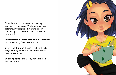The school and community centre in my community have closed. While we often have different gatherings and fun events in our community, these have all been cancelled or postponed.

My family tells me that's because this coronavirus can spread easily from person to person.

Because of this, even though I wash my hands, cough into my elbow and don't touch my face, I have to stay home.

By staying home, I am keeping myself and others safe and healthy.

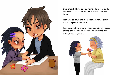## Even though I have to stay home, I have lots to do.



My teachers have sent me work that I can do at home.

I am able to draw and make crafts for my Kokum that I can give to her later.

I get to spend more time with people in my house, playing games, reading stories and preparing and eating meals together.

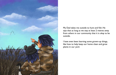

My Dad takes me outside to hunt and fish. He says that as long as we stay at least 2 metres away from others in our community that it is okay to be outside.

I have even been learning some grown-up things, like how to help keep our home clean and grow plants in our yard.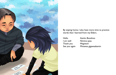

By staying home, I also have more time to practice words that I learned from my Elders.

| Aani  |
|-------|
| Nim   |
| Miigy |
| Mina  |
|       |

iin, Boozhoo i<mark>no-ay</mark>aa wech awaa gigawaabamin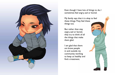

Even though I have lots of things to do, I sometimes feel angry, sad or bored.

My family says that it is okay to feel these things. They feel these things too.

But rather than stay angry, sad or bored, they try to think of all the things that make them glad.

I am glad that there are brave people in and outside my community working to keep us healthy and find a treatment.

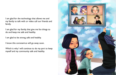I am glad for the technology that allows me and my family to talk with or video call our friends and family.

I am glad for my family, that give me fun things to do and keep me safe and healthy.

I am glad to be strong, safe and healthy.

I know this coronavirus will go away soon.

Which is why I will continue to do my part to keep myself and my community safe and healthy.